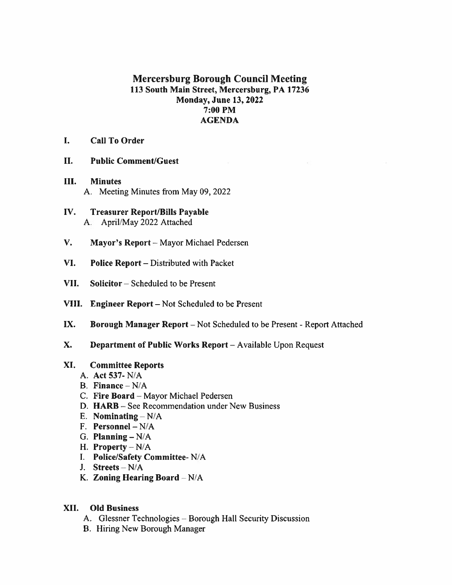# Mercersburg Borough Council Meeting 113 South Main Street, Mercersburg, PA 17236 Monday, June 13, 2022 7:00 PM AGENDA

 $\mathcal{C}^{\prime}$ 

- 1. Call To Order
- II. Public Comment/Guest
- III. **Minutes** A. Meeting Minutes from May 09, 2022
- IV. Treasurer Report/Bills Payable A. April/May 2022 Attached
- $V_{\star}$ Mayor's Report - Mayor Michael Pedersen
- VI. Police Report — Distributed with Packet
- VII. Solicitor — Scheduled to be Present
- VIII. Engineer Report Not Scheduled to be Present
- IX. Borough Manager Report — Not Scheduled to be Present - Report Attached
- X. Department of Public Works Report — Available Upon Request

### XI. Committee Reports

- A. Act 537- N/A
- B. Finance  $-N/A$
- C. Fire Board  $-M$ ayor Michael Pedersen
- D. HARB See Recommendation under New Business
- $E.$  Nominating  $-N/A$
- F. Personnel N/A
- G. Planning  $-N/A$
- H. Property  $-N/A$
- Police/Safety Committee- N/A
- J. Streets N/A
- K. Zoning Hearing Board  $-N/A$

# A.<br>
B. 1<br>
C. 1<br>
D. 1<br>
E. 1<br>
F. 1<br>
H. 1<br>
L. 1<br>
L. 1<br>
K. 2<br>
XII. C XII. Old Business

- A. Glessner Technologies Borough Hall Security Discussion
- B. Hiring New Borough Manager